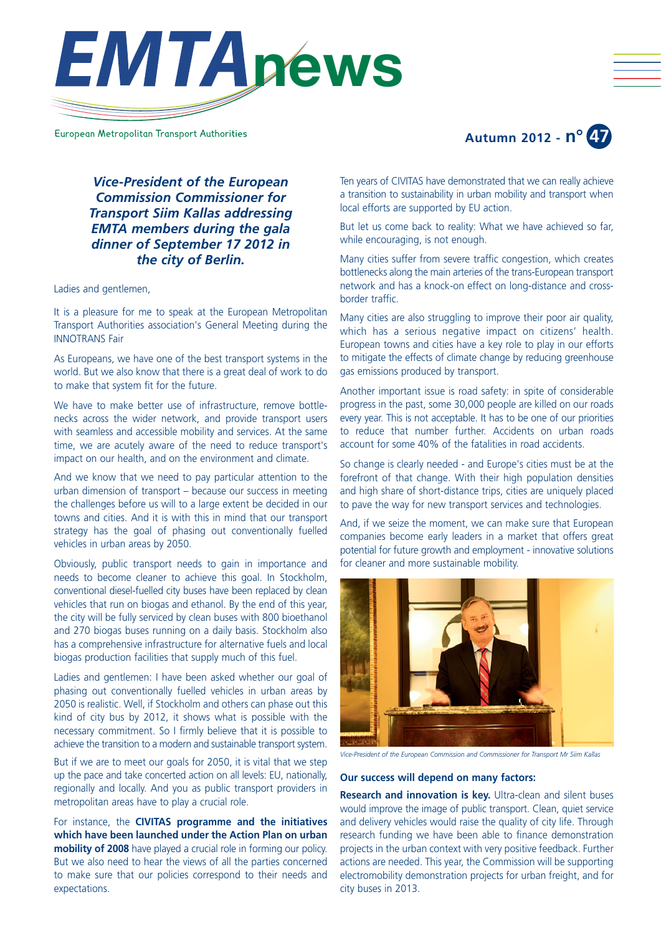

European Metropolitan Transport Authorities



*Vice-President of the European Commission Commissioner for Transport Siim Kallas addressing EMTA members during the gala dinner of September 17 2012 in the city of Berlin.*

Ladies and gentlemen,

It is a pleasure for me to speak at the European Metropolitan Transport Authorities association's General Meeting during the INNOTRANS Fair

As Europeans, we have one of the best transport systems in the world. But we also know that there is a great deal of work to do to make that system fit for the future.

We have to make better use of infrastructure, remove bottlenecks across the wider network, and provide transport users with seamless and accessible mobility and services. At the same time, we are acutely aware of the need to reduce transport's impact on our health, and on the environment and climate.

And we know that we need to pay particular attention to the urban dimension of transport – because our success in meeting the challenges before us will to a large extent be decided in our towns and cities. And it is with this in mind that our transport strategy has the goal of phasing out conventionally fuelled vehicles in urban areas by 2050.

Obviously, public transport needs to gain in importance and needs to become cleaner to achieve this goal. In Stockholm, conventional diesel-fuelled city buses have been replaced by clean vehicles that run on biogas and ethanol. By the end of this year, the city will be fully serviced by clean buses with 800 bioethanol and 270 biogas buses running on a daily basis. Stockholm also has a comprehensive infrastructure for alternative fuels and local biogas production facilities that supply much of this fuel.

Ladies and gentlemen: I have been asked whether our goal of phasing out conventionally fuelled vehicles in urban areas by 2050 is realistic. Well, if Stockholm and others can phase out this kind of city bus by 2012, it shows what is possible with the necessary commitment. So I firmly believe that it is possible to achieve the transition to a modern and sustainable transport system.

But if we are to meet our goals for 2050, it is vital that we step up the pace and take concerted action on all levels: EU, nationally, regionally and locally. And you as public transport providers in metropolitan areas have to play a crucial role.

For instance, the **CIVITAS programme and the initiatives which have been launched under the Action Plan on urban mobility of 2008** have played a crucial role in forming our policy. But we also need to hear the views of all the parties concerned to make sure that our policies correspond to their needs and expectations.

Ten years of CIVITAS have demonstrated that we can really achieve a transition to sustainability in urban mobility and transport when local efforts are supported by EU action.

But let us come back to reality: What we have achieved so far, while encouraging, is not enough.

Many cities suffer from severe traffic congestion, which creates bottlenecks along the main arteries of the trans-European transport network and has a knock-on effect on long-distance and crossborder traffic.

Many cities are also struggling to improve their poor air quality, which has a serious negative impact on citizens' health. European towns and cities have a key role to play in our efforts to mitigate the effects of climate change by reducing greenhouse gas emissions produced by transport.

Another important issue is road safety: in spite of considerable progress in the past, some 30,000 people are killed on our roads every year. This is not acceptable. It has to be one of our priorities to reduce that number further. Accidents on urban roads account for some 40% of the fatalities in road accidents.

So change is clearly needed - and Europe's cities must be at the forefront of that change. With their high population densities and high share of short-distance trips, cities are uniquely placed to pave the way for new transport services and technologies.

And, if we seize the moment, we can make sure that European companies become early leaders in a market that offers great potential for future growth and employment - innovative solutions for cleaner and more sustainable mobility.



*Vice-President of the European Commission and Commissioner for Transport Mr Siim Kallas*

# **Our success will depend on many factors:**

**Research and innovation is key.** Ultra-clean and silent buses would improve the image of public transport. Clean, quiet service and delivery vehicles would raise the quality of city life. Through research funding we have been able to finance demonstration projects in the urban context with very positive feedback. Further actions are needed. This year, the Commission will be supporting electromobility demonstration projects for urban freight, and for city buses in 2013.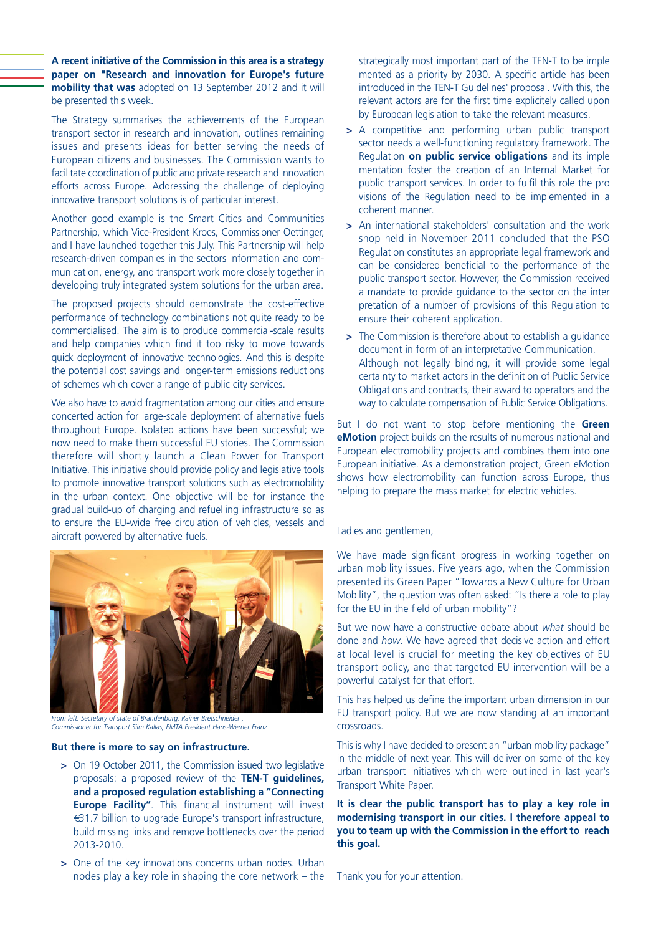**A recent initiative of the Commission in this area is a strategy paper on "Research and innovation for Europe's future mobility that was** adopted on 13 September 2012 and it will be presented this week.

The Strategy summarises the achievements of the European transport sector in research and innovation, outlines remaining issues and presents ideas for better serving the needs of European citizens and businesses. The Commission wants to facilitate coordination of public and private research and innovation efforts across Europe. Addressing the challenge of deploying innovative transport solutions is of particular interest.

Another good example is the Smart Cities and Communities Partnership, which Vice-President Kroes, Commissioner Oettinger, and I have launched together this July. This Partnership will help research-driven companies in the sectors information and communication, energy, and transport work more closely together in developing truly integrated system solutions for the urban area.

The proposed projects should demonstrate the cost-effective performance of technology combinations not quite ready to be commercialised. The aim is to produce commercial-scale results and help companies which find it too risky to move towards quick deployment of innovative technologies. And this is despite the potential cost savings and longer-term emissions reductions of schemes which cover a range of public city services.

We also have to avoid fragmentation among our cities and ensure concerted action for large-scale deployment of alternative fuels throughout Europe. Isolated actions have been successful; we now need to make them successful EU stories. The Commission therefore will shortly launch a Clean Power for Transport Initiative. This initiative should provide policy and legislative tools to promote innovative transport solutions such as electromobility in the urban context. One objective will be for instance the gradual build-up of charging and refuelling infrastructure so as to ensure the EU-wide free circulation of vehicles, vessels and aircraft powered by alternative fuels.



**From left: Secretary of state of Brandenburg, Rainer Bretschneider** *Commissioner for Transport Siim Kallas, EMTA President Hans-Werner Franz*

#### **But there is more to say on infrastructure.**

- **>** On 19 October 2011, the Commission issued two legislative proposals: a proposed review of the **TEN-T guidelines, and a proposed regulation establishing a "Connecting Europe Facility"**. This financial instrument will invest €31.7 billion to upgrade Europe's transport infrastructure, build missing links and remove bottlenecks over the period 2013-2010.
- **>** One of the key innovations concerns urban nodes. Urban nodes play a key role in shaping the core network – the

strategically most important part of the TEN-T to be imple mented as a priority by 2030. A specific article has been introduced in the TEN-T Guidelines' proposal. With this, the relevant actors are for the first time explicitely called upon by European legislation to take the relevant measures.

- **>** A competitive and performing urban public transport sector needs a well-functioning regulatory framework. The Regulation **on public service obligations** and its imple mentation foster the creation of an Internal Market for public transport services. In order to fulfil this role the pro visions of the Regulation need to be implemented in a coherent manner.
- **>** An international stakeholders' consultation and the work shop held in November 2011 concluded that the PSO Regulation constitutes an appropriate legal framework and can be considered beneficial to the performance of the public transport sector. However, the Commission received a mandate to provide guidance to the sector on the inter pretation of a number of provisions of this Regulation to ensure their coherent application.
- **>** The Commission is therefore about to establish a guidance document in form of an interpretative Communication. Although not legally binding, it will provide some legal certainty to market actors in the definition of Public Service Obligations and contracts, their award to operators and the way to calculate compensation of Public Service Obligations.

But I do not want to stop before mentioning the **Green eMotion** project builds on the results of numerous national and European electromobility projects and combines them into one European initiative. As a demonstration project, Green eMotion shows how electromobility can function across Europe, thus helping to prepare the mass market for electric vehicles.

Ladies and gentlemen,

We have made significant progress in working together on urban mobility issues. Five years ago, when the Commission presented its Green Paper "Towards a New Culture for Urban Mobility", the question was often asked: "Is there a role to play for the EU in the field of urban mobility"?

But we now have a constructive debate about *what* should be done and *how*. We have agreed that decisive action and effort at local level is crucial for meeting the key objectives of EU transport policy, and that targeted EU intervention will be a powerful catalyst for that effort.

This has helped us define the important urban dimension in our EU transport policy. But we are now standing at an important crossroads.

This is why I have decided to present an "urban mobility package" in the middle of next year. This will deliver on some of the key urban transport initiatives which were outlined in last year's Transport White Paper.

**It is clear the public transport has to play a key role in modernising transport in our cities. I therefore appeal to you to team up with the Commission in the effort to reach this goal.**

Thank you for your attention.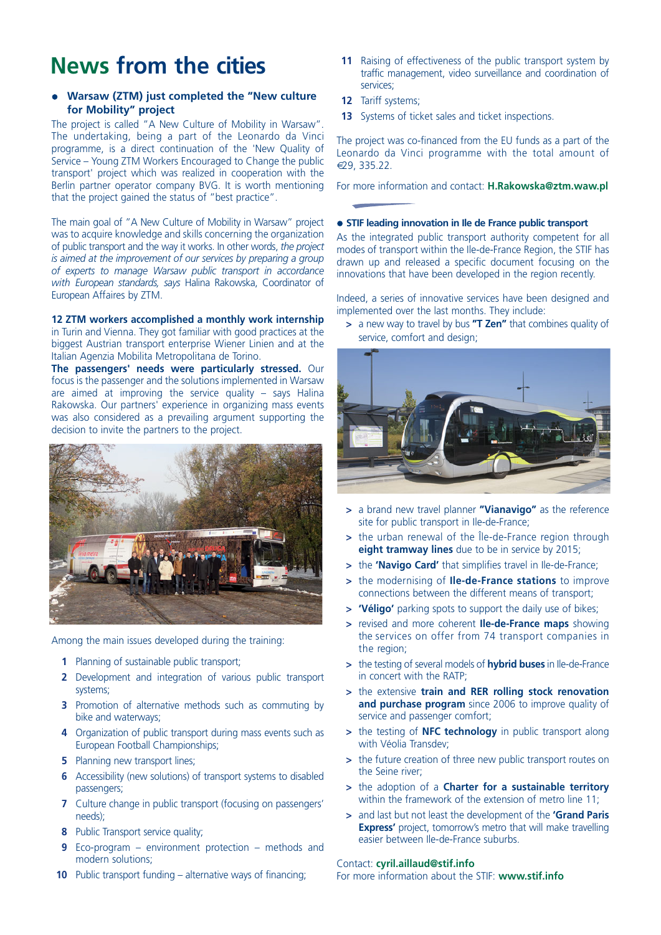# **News from the cities**

# **• Warsaw (ZTM) just completed the "New culture for Mobility" project**

The project is called "A New Culture of Mobility in Warsaw". The undertaking, being a part of the Leonardo da Vinci programme, is a direct continuation of the 'New Quality of Service – Young ZTM Workers Encouraged to Change the public transport' project which was realized in cooperation with the Berlin partner operator company BVG. It is worth mentioning that the project gained the status of "best practice".

The main goal of "A New Culture of Mobility in Warsaw" project was to acquire knowledge and skills concerning the organization of public transport and the way it works. In other words, *the project is aimed at the improvement of our services by preparing a group of experts to manage Warsaw public transport in accordance with European standards, says* Halina Rakowska, Coordinator of European Affaires by ZTM.

# **12 ZTM workers accomplished a monthly work internship**

in Turin and Vienna. They got familiar with good practices at the biggest Austrian transport enterprise Wiener Linien and at the Italian Agenzia Mobilita Metropolitana de Torino.

**The passengers' needs were particularly stressed.** Our focus is the passenger and the solutions implemented in Warsaw are aimed at improving the service quality  $-$  says Halina Rakowska. Our partners' experience in organizing mass events was also considered as a prevailing argument supporting the decision to invite the partners to the project.



Among the main issues developed during the training:

- **1** Planning of sustainable public transport;
- **2** Development and integration of various public transport systems;
- **3** Promotion of alternative methods such as commuting by bike and waterways;
- **4** Organization of public transport during mass events such as European Football Championships;
- **5** Planning new transport lines;
- **6** Accessibility (new solutions) of transport systems to disabled passengers;
- **7** Culture change in public transport (focusing on passengers' needs);
- **8** Public Transport service quality;
- **9** Eco-program environment protection methods and modern solutions;
- **10** Public transport funding alternative ways of financing;
- **11** Raising of effectiveness of the public transport system by traffic management, video surveillance and coordination of services;
- **12** Tariff systems;
- **13** Systems of ticket sales and ticket inspections.

The project was co-financed from the EU funds as a part of the Leonardo da Vinci programme with the total amount of €29, 335.22.

For more information and contact: **H.Rakowska@ztm.waw.pl**

#### $\bullet$  **STIF leading innovation in Ile de France public transport**

As the integrated public transport authority competent for all modes of transport within the Ile-de-France Region, the STIF has drawn up and released a specific document focusing on the innovations that have been developed in the region recently.

Indeed, a series of innovative services have been designed and implemented over the last months. They include:

**>** a new way to travel by bus **"T Zen"** that combines quality of service, comfort and design;



- **>** a brand new travel planner **"Vianavigo"** as the reference site for public transport in Ile-de-France;
- **>** the urban renewal of the Île-de-France region through **eight tramway lines** due to be in service by 2015;
- **>** the **'Navigo Card'** that simplifies travel in Ile-de-France;
- **>** the modernising of **Ile-de-France stations** to improve connections between the different means of transport;
- **> 'Véligo'** parking spots to support the daily use of bikes;
- **>** revised and more coherent **Ile-de-France maps** showing the services on offer from 74 transport companies in the region;
- **>** the testing of several models of **hybrid buses** in Ile-de-France in concert with the RATP;
- **>** the extensive **train and RER rolling stock renovation and purchase program** since 2006 to improve quality of service and passenger comfort;
- **>** the testing of **NFC technology** in public transport along with Véolia Transdev;
- **>** the future creation of three new public transport routes on the Seine river;
- **>** the adoption of a **Charter for a sustainable territory** within the framework of the extension of metro line 11;
- **>** and last but not least the development of the **'Grand Paris Express'** project, tomorrow's metro that will make travelling easier between Ile-de-France suburbs.

# Contact: **cyril.aillaud@stif.info**

For more information about the STIF: **www.stif.info**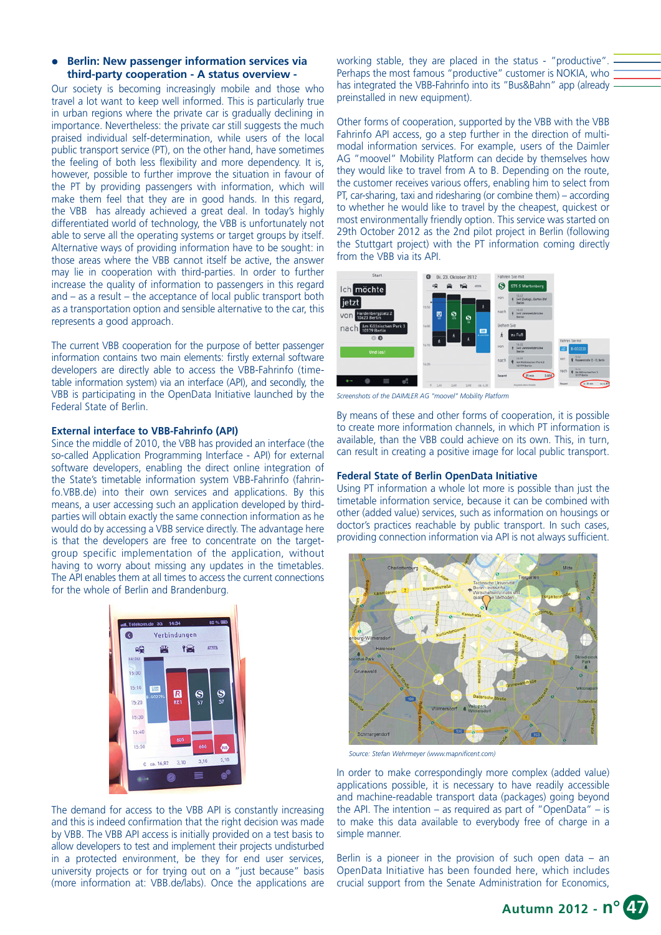## l **Berlin: New passenger information services via third-party cooperation - A status overview -**

Our society is becoming increasingly mobile and those who travel a lot want to keep well informed. This is particularly true in urban regions where the private car is gradually declining in importance. Nevertheless: the private car still suggests the much praised individual self-determination, while users of the local public transport service (PT), on the other hand, have sometimes the feeling of both less flexibility and more dependency. It is, however, possible to further improve the situation in favour of the PT by providing passengers with information, which will make them feel that they are in good hands. In this regard, the VBB has already achieved a great deal. In today's highly differentiated world of technology, the VBB is unfortunately not able to serve all the operating systems or target groups by itself. Alternative ways of providing information have to be sought: in those areas where the VBB cannot itself be active, the answer may lie in cooperation with third-parties. In order to further increase the quality of information to passengers in this regard and – as a result – the acceptance of local public transport both as a transportation option and sensible alternative to the car, this represents a good approach.

The current VBB cooperation for the purpose of better passenger information contains two main elements: firstly external software developers are directly able to access the VBB-Fahrinfo (timetable information system) via an interface (API), and secondly, the VBB is participating in the OpenData Initiative launched by the Federal State of Berlin.

## **External interface to VBB-Fahrinfo (API)**

Since the middle of 2010, the VBB has provided an interface (the so-called Application Programming Interface - API) for external software developers, enabling the direct online integration of the State's timetable information system VBB-Fahrinfo (fahrinfo.VBB.de) into their own services and applications. By this means, a user accessing such an application developed by thirdparties will obtain exactly the same connection information as he would do by accessing a VBB service directly. The advantage here is that the developers are free to concentrate on the targetgroup specific implementation of the application, without having to worry about missing any updates in the timetables. The API enables them at all times to access the current connections for the whole of Berlin and Brandenburg.

| 嗅<br>14:00                      | 鲁   | P <sub>2</sub>           | <b>STVTL</b>             |
|---------------------------------|-----|--------------------------|--------------------------|
| 15:00                           |     |                          |                          |
| 15:10<br><b>SOB</b><br>B-G02294 | ß   |                          |                          |
| 15:20                           | RE1 | $\frac{1}{\mathbf{S}^2}$ | $\frac{1}{\mathbb{S}^7}$ |
| 15:30                           |     |                          |                          |
| 15:40                           | 605 |                          |                          |
| 15:50                           |     | 606                      | <b>CUS</b>               |

The demand for access to the VBB API is constantly increasing and this is indeed confirmation that the right decision was made by VBB. The VBB API access is initially provided on a test basis to allow developers to test and implement their projects undisturbed in a protected environment, be they for end user services, university projects or for trying out on a "just because" basis (more information at: VBB.de/labs). Once the applications are

working stable, they are placed in the status - "productive". Perhaps the most famous "productive" customer is NOKIA, who has integrated the VBB-Fahrinfo into its "Bus&Bahn" app (already preinstalled in new equipment).

Other forms of cooperation, supported by the VBB with the VBB Fahrinfo API access, go a step further in the direction of multimodal information services. For example, users of the Daimler AG "moovel" Mobility Platform can decide by themselves how they would like to travel from A to B. Depending on the route, the customer receives various offers, enabling him to select from PT, car-sharing, taxi and ridesharing (or combine them) – according to whether he would like to travel by the cheapest, quickest or most environmentally friendly option. This service was started on 29th October 2012 as the 2nd pilot project in Berlin (following the Stuttgart project) with the PT information coming directly from the VBB via its API.



*Screenshots of the DAIMLER AG "moovel" Mobility Platform*

By means of these and other forms of cooperation, it is possible to create more information channels, in which PT information is available, than the VBB could achieve on its own. This, in turn, can result in creating a positive image for local public transport.

#### **Federal State of Berlin OpenData Initiative**

Using PT information a whole lot more is possible than just the timetable information service, because it can be combined with other (added value) services, such as information on housings or doctor's practices reachable by public transport. In such cases, providing connection information via API is not always sufficient.



*Source: Stefan Wehrmeyer (www.mapnificent.com)*

In order to make correspondingly more complex (added value) applications possible, it is necessary to have readily accessible and machine-readable transport data (packages) going beyond the API. The intention – as required as part of "OpenData" – is to make this data available to everybody free of charge in a simple manner.

Berlin is a pioneer in the provision of such open data  $-$  an OpenData Initiative has been founded here, which includes crucial support from the Senate Administration for Economics,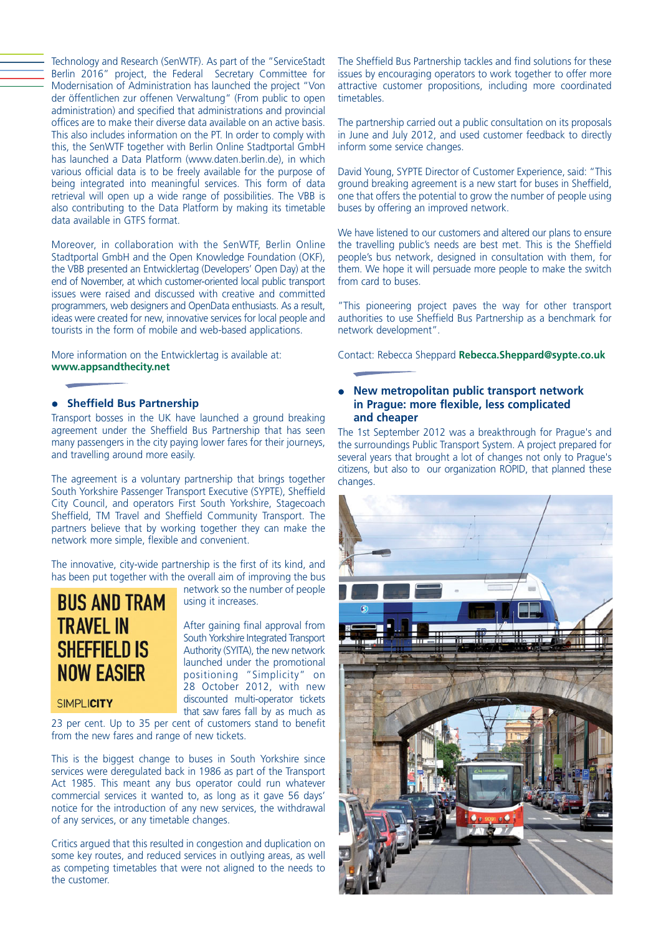Technology and Research (SenWTF). As part of the "ServiceStadt Berlin 2016" project, the Federal Secretary Committee for Modernisation of Administration has launched the project "Von der öffentlichen zur offenen Verwaltung" (From public to open administration) and specified that administrations and provincial offices are to make their diverse data available on an active basis. This also includes information on the PT. In order to comply with this, the SenWTF together with Berlin Online Stadtportal GmbH has launched a Data Platform (www.daten.berlin.de), in which various official data is to be freely available for the purpose of being integrated into meaningful services. This form of data retrieval will open up a wide range of possibilities. The VBB is also contributing to the Data Platform by making its timetable data available in GTFS format.

Moreover, in collaboration with the SenWTF, Berlin Online Stadtportal GmbH and the Open Knowledge Foundation (OKF), the VBB presented an Entwicklertag (Developers' Open Day) at the end of November, at which customer-oriented local public transport issues were raised and discussed with creative and committed programmers, web designers and OpenData enthusiasts. As a result, ideas were created for new, innovative services for local people and tourists in the form of mobile and web-based applications.

More information on the Entwicklertag is available at: **www.appsandthecity.net**

# **•** Sheffield Bus Partnership

Transport bosses in the UK have launched a ground breaking agreement under the Sheffield Bus Partnership that has seen many passengers in the city paying lower fares for their journeys, and travelling around more easily.

The agreement is a voluntary partnership that brings together South Yorkshire Passenger Transport Executive (SYPTE), Sheffield City Council, and operators First South Yorkshire, Stagecoach Sheffield, TM Travel and Sheffield Community Transport. The partners believe that by working together they can make the network more simple, flexible and convenient.

The innovative, city-wide partnership is the first of its kind, and has been put together with the overall aim of improving the bus



network so the number of people using it increases.

After gaining final approval from South Yorkshire Integrated Transport Authority (SYITA), the new network launched under the promotional positioning "Simplicity" on 28 October 2012, with new discounted multi-operator tickets that saw fares fall by as much as

# SIMPLICITY

23 per cent. Up to 35 per cent of customers stand to benefit from the new fares and range of new tickets.

This is the biggest change to buses in South Yorkshire since services were deregulated back in 1986 as part of the Transport Act 1985. This meant any bus operator could run whatever commercial services it wanted to, as long as it gave 56 days' notice for the introduction of any new services, the withdrawal of any services, or any timetable changes.

Critics argued that this resulted in congestion and duplication on some key routes, and reduced services in outlying areas, as well as competing timetables that were not aligned to the needs to the customer.

The Sheffield Bus Partnership tackles and find solutions for these issues by encouraging operators to work together to offer more attractive customer propositions, including more coordinated timetables.

The partnership carried out a public consultation on its proposals in June and July 2012, and used customer feedback to directly inform some service changes.

David Young, SYPTE Director of Customer Experience, said: "This ground breaking agreement is a new start for buses in Sheffield, one that offers the potential to grow the number of people using buses by offering an improved network.

We have listened to our customers and altered our plans to ensure the travelling public's needs are best met. This is the Sheffield people's bus network, designed in consultation with them, for them. We hope it will persuade more people to make the switch from card to buses.

"This pioneering project paves the way for other transport authorities to use Sheffield Bus Partnership as a benchmark for network development".

Contact: Rebecca Sheppard **Rebecca.Sheppard@sypte.co.uk**

# l **New metropolitan public transport network in Prague: more flexible, less complicated and cheaper**

The 1st September 2012 was a breakthrough for Prague's and the surroundings Public Transport System. A project prepared for several years that brought a lot of changes not only to Prague's citizens, but also to our organization ROPID, that planned these changes.